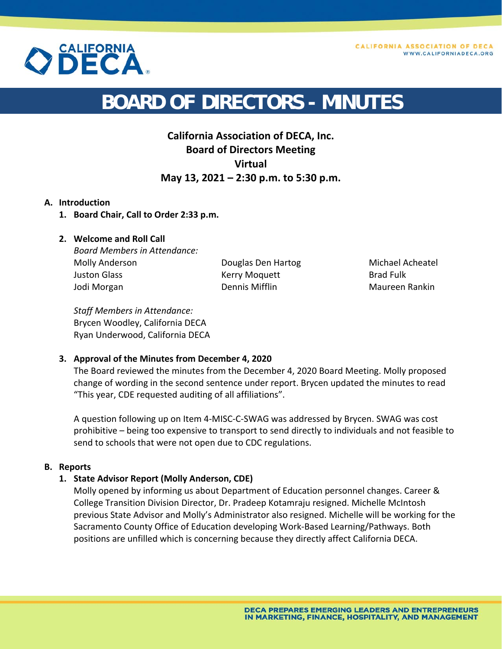



# **BOARD OF DIRECTORS - MINUTES**

## **California Association of DECA, Inc. Board of Directors Meeting Virtual May 13, 2021 – 2:30 p.m. to 5:30 p.m.**

#### **A. Introduction**

**1. Board Chair, Call to Order 2:33 p.m.** 

### **2. Welcome and Roll Call**

*Board Members in Attendance:*  Molly Anderson Juston Glass Jodi Morgan

Douglas Den Hartog Kerry Moquett Dennis Mifflin

Michael Acheatel Brad Fulk Maureen Rankin

*Staff Members in Attendance:*  Brycen Woodley, California DECA Ryan Underwood, California DECA

#### **3. Approval of the Minutes from December 4, 2020**

The Board reviewed the minutes from the December 4, 2020 Board Meeting. Molly proposed change of wording in the second sentence under report. Brycen updated the minutes to read "This year, CDE requested auditing of all affiliations".

A question following up on Item 4‐MISC‐C‐SWAG was addressed by Brycen. SWAG was cost prohibitive – being too expensive to transport to send directly to individuals and not feasible to send to schools that were not open due to CDC regulations.

#### **B. Reports**

#### **1. State Advisor Report (Molly Anderson, CDE)**

Molly opened by informing us about Department of Education personnel changes. Career & College Transition Division Director, Dr. Pradeep Kotamraju resigned. Michelle McIntosh previous State Advisor and Molly's Administrator also resigned. Michelle will be working for the Sacramento County Office of Education developing Work‐Based Learning/Pathways. Both positions are unfilled which is concerning because they directly affect California DECA.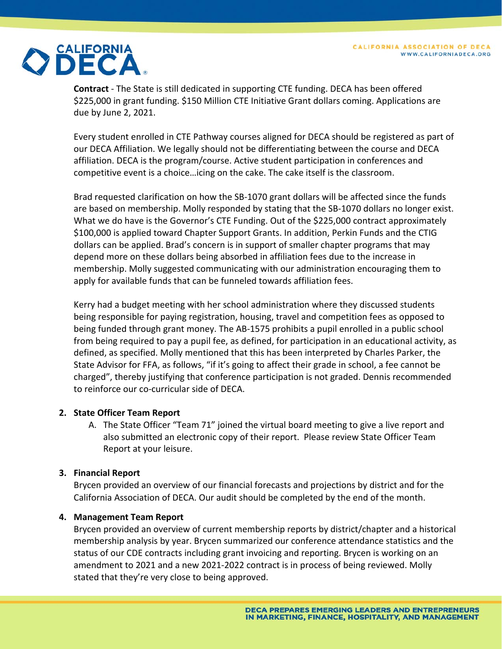

**Contract** ‐ The State is still dedicated in supporting CTE funding. DECA has been offered \$225,000 in grant funding. \$150 Million CTE Initiative Grant dollars coming. Applications are due by June 2, 2021.

Every student enrolled in CTE Pathway courses aligned for DECA should be registered as part of our DECA Affiliation. We legally should not be differentiating between the course and DECA affiliation. DECA is the program/course. Active student participation in conferences and competitive event is a choice…icing on the cake. The cake itself is the classroom.

Brad requested clarification on how the SB‐1070 grant dollars will be affected since the funds are based on membership. Molly responded by stating that the SB-1070 dollars no longer exist. What we do have is the Governor's CTE Funding. Out of the \$225,000 contract approximately \$100,000 is applied toward Chapter Support Grants. In addition, Perkin Funds and the CTIG dollars can be applied. Brad's concern is in support of smaller chapter programs that may depend more on these dollars being absorbed in affiliation fees due to the increase in membership. Molly suggested communicating with our administration encouraging them to apply for available funds that can be funneled towards affiliation fees.

Kerry had a budget meeting with her school administration where they discussed students being responsible for paying registration, housing, travel and competition fees as opposed to being funded through grant money. The AB‐1575 prohibits a pupil enrolled in a public school from being required to pay a pupil fee, as defined, for participation in an educational activity, as defined, as specified. Molly mentioned that this has been interpreted by Charles Parker, the State Advisor for FFA, as follows, "if it's going to affect their grade in school, a fee cannot be charged", thereby justifying that conference participation is not graded. Dennis recommended to reinforce our co‐curricular side of DECA.

#### **2. State Officer Team Report**

A. The State Officer "Team 71" joined the virtual board meeting to give a live report and also submitted an electronic copy of their report. Please review State Officer Team Report at your leisure.

#### **3. Financial Report**

Brycen provided an overview of our financial forecasts and projections by district and for the California Association of DECA. Our audit should be completed by the end of the month.

#### **4. Management Team Report**

Brycen provided an overview of current membership reports by district/chapter and a historical membership analysis by year. Brycen summarized our conference attendance statistics and the status of our CDE contracts including grant invoicing and reporting. Brycen is working on an amendment to 2021 and a new 2021‐2022 contract is in process of being reviewed. Molly stated that they're very close to being approved.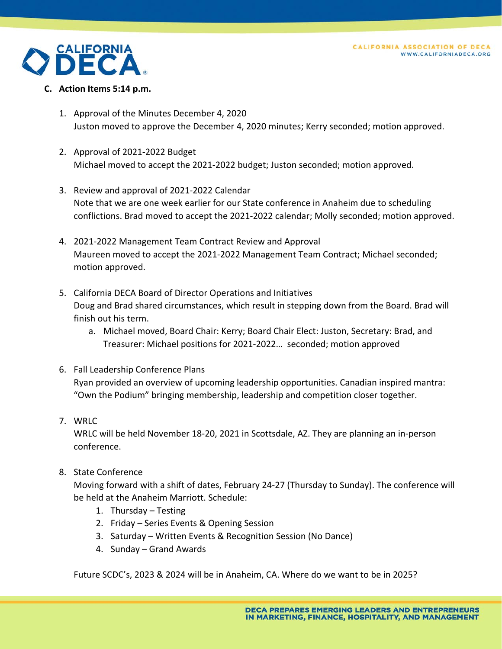

#### **C. Action Items 5:14 p.m.**

- 1. Approval of the Minutes December 4, 2020 Juston moved to approve the December 4, 2020 minutes; Kerry seconded; motion approved.
- 2. Approval of 2021‐2022 Budget Michael moved to accept the 2021‐2022 budget; Juston seconded; motion approved.
- 3. Review and approval of 2021‐2022 Calendar Note that we are one week earlier for our State conference in Anaheim due to scheduling conflictions. Brad moved to accept the 2021‐2022 calendar; Molly seconded; motion approved.
- 4. 2021‐2022 Management Team Contract Review and Approval Maureen moved to accept the 2021‐2022 Management Team Contract; Michael seconded; motion approved.
- 5. California DECA Board of Director Operations and Initiatives Doug and Brad shared circumstances, which result in stepping down from the Board. Brad will finish out his term.
	- a. Michael moved, Board Chair: Kerry; Board Chair Elect: Juston, Secretary: Brad, and Treasurer: Michael positions for 2021‐2022… seconded; motion approved
- 6. Fall Leadership Conference Plans Ryan provided an overview of upcoming leadership opportunities. Canadian inspired mantra: "Own the Podium" bringing membership, leadership and competition closer together.

#### 7. WRLC

WRLC will be held November 18‐20, 2021 in Scottsdale, AZ. They are planning an in‐person conference.

8. State Conference

Moving forward with a shift of dates, February 24‐27 (Thursday to Sunday). The conference will be held at the Anaheim Marriott. Schedule:

- 1. Thursday Testing
- 2. Friday Series Events & Opening Session
- 3. Saturday Written Events & Recognition Session (No Dance)
- 4. Sunday Grand Awards

Future SCDC's, 2023 & 2024 will be in Anaheim, CA. Where do we want to be in 2025?